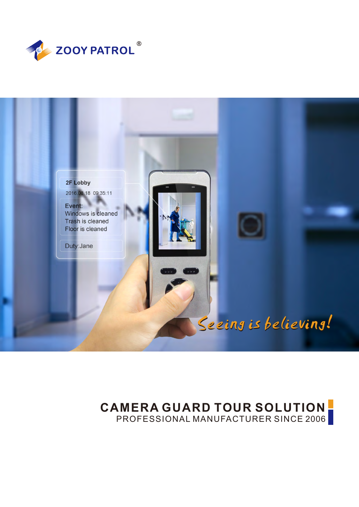



## **CAMERA GUARD TOUR SOLUTION** PROFESSIONAL MANUFACTURER SINCE 2006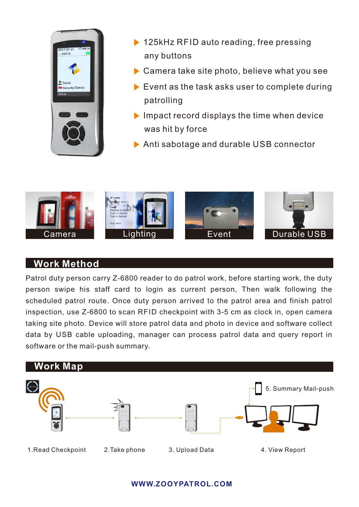

- ▶ 125kHz RFID auto reading, free pressing any buttons
- ▶ Camera take site photo, believe what you see
- $\blacktriangleright$  Event as the task asks user to complete during patrolling
- ▶ Impact record displays the time when device was hit by force
- ▶ Anti sabotage and durable USB connector









## **Work Method**

Patrol duty person carry Z-6800 reader to do patrol work, before starting work, the duty person swipe his staff card to login as current person, Then walk following the scheduled patrol route. Once duty person arrived to the patrol area and finish patrol inspection, use Z-6800 to scan RFID checkpoint with 3-5 cm as clock in, open camera taking site photo. Device will store patrol data and photo in device and software collect data by USB cable uploading, manager can process patrol data and query report in software or the mail-push summary.



## **WWW.ZOOYPATROL.COM**